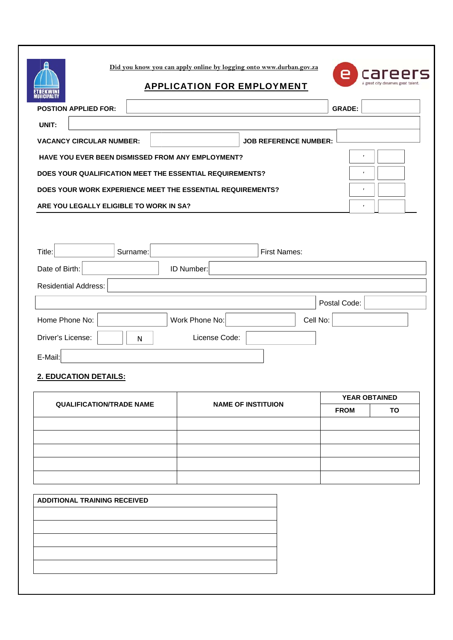**Did you know you u can apply onl line by logging g onto www.du urban.gov.za**



# **APPLICATION FOR EMPLOYMENT**

| <b>POSTION APPLIED FOR:</b>                                |  |                              | <b>GRADE:</b> |  |
|------------------------------------------------------------|--|------------------------------|---------------|--|
| UNIT:                                                      |  |                              |               |  |
| <b>VACANCY CIRCULAR NUMBER:</b>                            |  | <b>JOB REFERENCE NUMBER:</b> |               |  |
| <b>HAVE YOU EVER BEEN DISMISSED FROM ANY EMPLOYMENT?</b>   |  |                              |               |  |
| DOES YOUR QUALIFICATION MEET THE ESSENTIAL REQUIREMENTS?   |  |                              |               |  |
| DOES YOUR WORK EXPERIENCE MEET THE ESSENTIAL REQUIREMENTS? |  |                              |               |  |
| ARE YOU LEGALLY ELIGIBLE TO WORK IN SA?                    |  |                              |               |  |

| <b>POSTION APPLIED FOR:</b>                                  |                     |              | <b>GRADE:</b>        |  |  |  |  |
|--------------------------------------------------------------|---------------------|--------------|----------------------|--|--|--|--|
| UNIT:                                                        |                     |              |                      |  |  |  |  |
| <b>VACANCY CIRCULAR NUMBER:</b>                              |                     |              |                      |  |  |  |  |
| <b>HAVE YOU EVER BEEN DISMISSED FROM ANY EMPLOYMENT?</b>     |                     |              |                      |  |  |  |  |
| DOES YOUR QUALIFICATION MEET THE ESSENTIAL REQUIREMENTS?     |                     |              |                      |  |  |  |  |
| DOES YOUR WORK EXPERIENCE MEET THE ESSENTIAL REQUIREMENTS?   |                     |              |                      |  |  |  |  |
| ARE YOU LEGALLY ELIGIBLE TO WORK IN SA?                      |                     |              |                      |  |  |  |  |
|                                                              |                     |              |                      |  |  |  |  |
|                                                              |                     |              |                      |  |  |  |  |
| Title:<br>Surname:                                           | <b>First Names:</b> |              |                      |  |  |  |  |
| ID Number:<br>Date of Birth:                                 |                     |              |                      |  |  |  |  |
| <b>Residential Address:</b>                                  |                     |              |                      |  |  |  |  |
|                                                              |                     | Postal Code: |                      |  |  |  |  |
| Home Phone No:                                               | Work Phone No:      | Cell No:     |                      |  |  |  |  |
| Driver's License:<br>License Code:<br>N                      |                     |              |                      |  |  |  |  |
| E-Mail:                                                      |                     |              |                      |  |  |  |  |
| <b>2. EDUCATION DETAILS:</b>                                 |                     |              |                      |  |  |  |  |
| <b>QUALIFICATION/TRADE NAME</b><br><b>NAME OF INSTITUION</b> |                     |              | <b>YEAR OBTAINED</b> |  |  |  |  |
|                                                              |                     |              |                      |  |  |  |  |

# **2. EDUCATION DETAILS:**

į

ETHEKV

|                                 |                           | <b>YEAR OBTAINED</b> |    |
|---------------------------------|---------------------------|----------------------|----|
| <b>QUALIFICATION/TRADE NAME</b> | <b>NAME OF INSTITUION</b> | <b>FROM</b>          | TO |
|                                 |                           |                      |    |
|                                 |                           |                      |    |
|                                 |                           |                      |    |
|                                 |                           |                      |    |
|                                 |                           |                      |    |

| <b>ADDITIONAL TRAINING RECEIVED</b> |  |  |  |  |
|-------------------------------------|--|--|--|--|
|                                     |  |  |  |  |
|                                     |  |  |  |  |
|                                     |  |  |  |  |
|                                     |  |  |  |  |
|                                     |  |  |  |  |